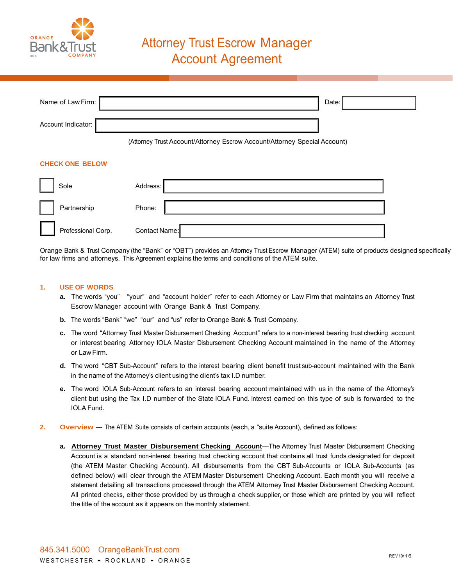

| Name of Law Firm:      | Date:                                                                     |
|------------------------|---------------------------------------------------------------------------|
| Account Indicator:     |                                                                           |
|                        | (Attorney Trust Account/Attorney Escrow Account/Attorney Special Account) |
| <b>CHECK ONE BELOW</b> |                                                                           |
| Sole                   | Address:                                                                  |
| Partnership            | Phone:                                                                    |
| Professional Corp.     | Contact Name:                                                             |

Orange Bank & Trust Company (the "Bank" or "OBT") provides an Attorney Trust Escrow Manager (ATEM) suite of products designed specifically for law firms and attorneys. This Agreement explains the terms and conditions of the ATEM suite.

## **1. USE OF WORDS**

- **a.** The words "you" "your" and "account holder" refer to each Attorney or Law Firm that maintains an Attorney Trust Escrow Manager account with Orange Bank & Trust Company.
- **b.** The words "Bank" "we" "our" and "us" refer to Orange Bank & Trust Company.
- **c.** The word "Attorney Trust Master Disbursement Checking Account" refers to a non-interest bearing trust checking account or interest bearing Attorney IOLA Master Disbursement Checking Account maintained in the name of the Attorney or Law Firm.
- **d.** The word "CBT Sub-Account" refers to the interest bearing client benefit trust sub-account maintained with the Bank in the name of the Attorney's client using the client's tax I.D number.
- **e.** The word IOLA Sub-Account refers to an interest bearing account maintained with us in the name of the Attorney's client but using the Tax I.D number of the State IOLA Fund. Interest earned on this type of sub is forwarded to the IOLA Fund.
- **2.** Overview The ATEM Suite consists of certain accounts (each, a "suite Account), defined as follows:
	- **a. Attorney Trust Master Disbursement Checking Account**—The Attorney Trust Master Disbursement Checking Account is a standard non-interest bearing trust checking account that contains all trust funds designated for deposit (the ATEM Master Checking Account). All disbursements from the CBT Sub-Accounts or IOLA Sub-Accounts (as defined below) will clear through the ATEM Master Disbursement Checking Account. Each month you will receive a statement detailing all transactions processed through the ATEM Attorney Trust Master Disbursement Checking Account. All printed checks, either those provided by us through a check supplier, or those which are printed by you will reflect the title of the account as it appears on the monthly statement.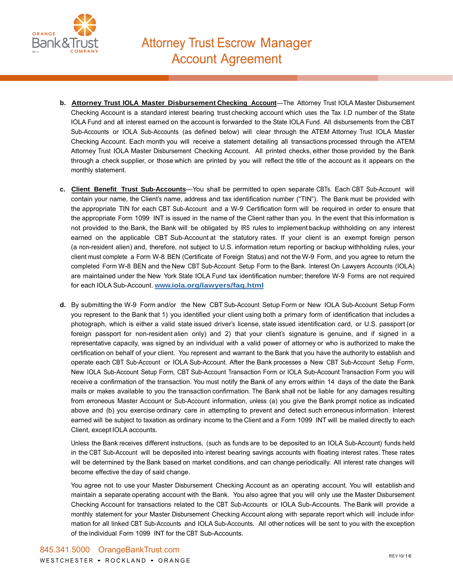

- **b. Attorney Trust IOLA Master Disbursement Checking Account**—The Attorney Trust IOLA Master Disbursement Checking Account is a standard interest bearing trust checking account which uses the Tax I.D number of the State IOLA Fund and all interest earned on the account is forwarded to the State IOLA Fund. All disbursements from the CBT Sub-Accounts or IOLA Sub-Accounts (as defined below) will clear through the ATEM Attorney Trust IOLA Master Checking Account. Each month you will receive a statement detailing all transactions processed through the ATEM Attorney Trust IOLA Master Disbursement Checking Account. All printed checks, either those provided by the Bank through a check supplier, or those which are printed by you will reflect the title of the account as it appears on the monthly statement.
- **c. Client Benefit Trust Sub-Accounts**—You shall be permitted to open separate CBTs. Each CBT Sub-Account will contain your name, the Client's name, address and tax identification number ("TIN"). The Bank must be provided with the appropriate TIN for each CBT Sub-Account and a W-9 Certification form will be required in order to ensure that the appropriate Form 1099 INT is issued in the name of the Client rather than you. In the event that this information is not provided to the Bank, the Bank will be obligated by IRS rules to implement backup withholding on any interest earned on the applicable CBT Sub-Account at the statutory rates. If your client is an exempt foreign person (a non-resident alien) and, therefore, not subject to U.S. information return reporting or backup withholding rules, your client must complete a Form W-8 BEN (Certificate of Foreign Status) and not the W-9 Form, and you agree to return the completed Form W-8 BEN and the New CBT Sub-Account Setup Form to the Bank. Interest On Lawyers Accounts (IOLA) are maintained under the New York State IOLA Fund tax identification number; therefore W-9 Forms are not required for each IOLA Sub-Account. **[www.iola.org/lawyers/faq.html](https://www.iola.org/lawyers/faq.html)**
- **d.** By submitting the W-9 Form and/or the New CBT Sub-Account Setup Form or New IOLA Sub-Account Setup Form you represent to the Bank that 1) you identified your client using both a primary form of identification that includes a photograph, which is either a valid state issued driver's license, state issued identification card, or U.S. passport (or foreign passport for non-resident alien only) and 2) that your client's signature is genuine, and if signed in a representative capacity, was signed by an individual with a valid power of attorney or who is authorized to make the certification on behalf of your client. You represent and warrant to the Bank that you have the authority to establish and operate each CBT Sub-Account or IOLA Sub-Account. After the Bank processes a New CBT Sub-Account Setup Form, New IOLA Sub-Account Setup Form, CBT Sub-Account Transaction Form or IOLA Sub-Account Transaction Form you will receive a confirmation of the transaction. You must notify the Bank of any errors within 14 days of the date the Bank mails or makes available to you the transaction confirmation. The Bank shall not be liable for any damages resulting from erroneous Master Account or Sub-Account information, unless (a) you give the Bank prompt notice as indicated above and (b) you exercise ordinary care in attempting to prevent and detect such erroneous information. Interest earned will be subject to taxation as ordinary income to the Client and a Form 1099 INT will be mailed directly to each Client, except IOLA accounts.

Unless the Bank receives different instructions, (such as funds are to be deposited to an IOLA Sub-Account) funds held in the CBT Sub-Account will be deposited into interest bearing savings accounts with floating interest rates. These rates will be determined by the Bank based on market conditions, and can change periodically. All interest rate changes will become effective the day of said change.

You agree not to use your Master Disbursement Checking Account as an operating account. You will establish and maintain a separate operating account with the Bank. You also agree that you will only use the Master Disbursement Checking Account for transactions related to the CBT Sub-Accounts or IOLA Sub-Accounts. The Bank will provide a monthly statement for your Master Disbursement Checking Account along with separate report which will include information for all linked CBT Sub-Accounts and IOLA Sub-Accounts. All other notices will be sent to you with the exception of the individual Form 1099 INT for the CBT Sub-Accounts.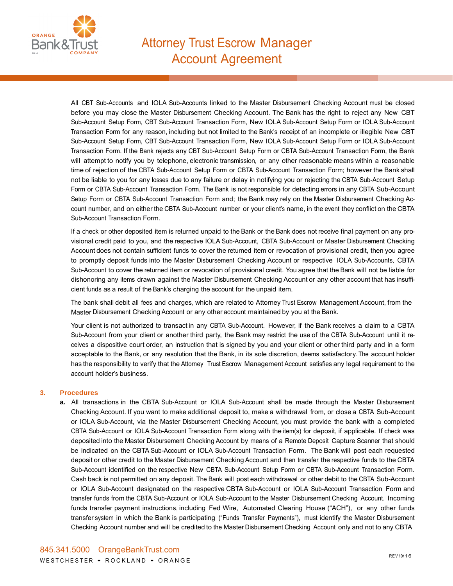

## Attorney Trust Escrow Manager **Account Agreement**

All CBT Sub-Accounts and IOLA Sub-Accounts linked to the Master Disbursement Checking Account must be closed before you may close the Master Disbursement Checking Account. The Bank has the right to reject any New CBT Sub-Account Setup Form, CBT Sub-Account Transaction Form, New IOLA Sub-Account Setup Form or IOLA Sub-Account Transaction Form for any reason, including but not limited to the Bank's receipt of an incomplete or illegible New CBT Sub-Account Setup Form, CBT Sub-Account Transaction Form, New IOLA Sub-Account Setup Form or IOLA Sub-Account Transaction Form. If the Bank rejects any CBT Sub-Account Setup Form or CBTA Sub-Account Transaction Form, the Bank will attempt to notify you by telephone, electronic transmission, or any other reasonable means within a reasonable time of rejection of the CBTA Sub-Account Setup Form or CBTA Sub-Account Transaction Form; however the Bank shall not be liable to you for any losses due to any failure or delay in notifying you or rejecting the CBTA Sub-Account Setup Form or CBTA Sub-Account Transaction Form. The Bank is not responsible for detecting errors in any CBTA Sub-Account Setup Form or CBTA Sub-Account Transaction Form and; the Bank may rely on the Master Disbursement Checking Account number, and on either the CBTA Sub-Account number or your client's name, in the event they conflict on the CBTA Sub-Account Transaction Form.

If a check or other deposited item is returned unpaid to the Bank or the Bank does not receive final payment on any provisional credit paid to you, and the respective IOLA Sub-Account, CBTA Sub-Account or Master Disbursement Checking Account does not contain sufficient funds to cover the returned item or revocation of provisional credit, then you agree to promptly deposit funds into the Master Disbursement Checking Account or respective IOLA Sub-Accounts, CBTA Sub-Account to cover the returned item or revocation of provisional credit. You agree that the Bank will not be liable for dishonoring any items drawn against the Master Disbursement Checking Account or any other account that has insufficient funds as a result of the Bank's charging the account for the unpaid item.

The bank shall debit all fees and charges, which are related to Attorney Trust Escrow Management Account, from the Master Disbursement Checking Account or any other account maintained by you at the Bank.

Your client is not authorized to transact in any CBTA Sub-Account. However, if the Bank receives a claim to a CBTA Sub-Account from your client or another third party, the Bank may restrict the use of the CBTA Sub-Account until it receives a dispositive court order, an instruction that is signed by you and your client or other third party and in a form acceptable to the Bank, or any resolution that the Bank, in its sole discretion, deems satisfactory. The account holder has the responsibility to verify that the Attorney Trust Escrow Management Account satisfies any legal requirement to the account holder's business.

## **3. Procedures**

**a.** All transactions in the CBTA Sub-Account or IOLA Sub-Account shall be made through the Master Disbursement Checking Account. If you want to make additional deposit to, make a withdrawal from, or close a CBTA Sub-Account or IOLA Sub-Account, via the Master Disbursement Checking Account, you must provide the bank with a completed CBTA Sub-Account or IOLA Sub-Account Transaction Form along with the item(s) for deposit, if applicable. If check was deposited into the Master Disbursement Checking Account by means of a Remote Deposit Capture Scanner that should be indicated on the CBTA Sub-Account or IOLA Sub-Account Transaction Form. The Bank will post each requested deposit or other credit to the Master Disbursement Checking Account and then transfer the respective funds to the CBTA Sub-Account identified on the respective New CBTA Sub-Account Setup Form or CBTA Sub-Account Transaction Form. Cash back is not permitted on any deposit. The Bank will post each withdrawal or other debit to the CBTA Sub-Account or IOLA Sub-Account designated on the respective CBTA Sub-Account or IOLA Sub-Account Transaction Form and transfer funds from the CBTA Sub-Account or IOLA Sub-Account to the Master Disbursement Checking Account. Incoming funds transfer payment instructions, including Fed Wire, Automated Clearing House ("ACH"), or any other funds transfer system in which the Bank is participating ("Funds Transfer Payments"), must identify the Master Disbursement Checking Account number and will be credited to the Master Disbursement Checking Account only and not to any CBTA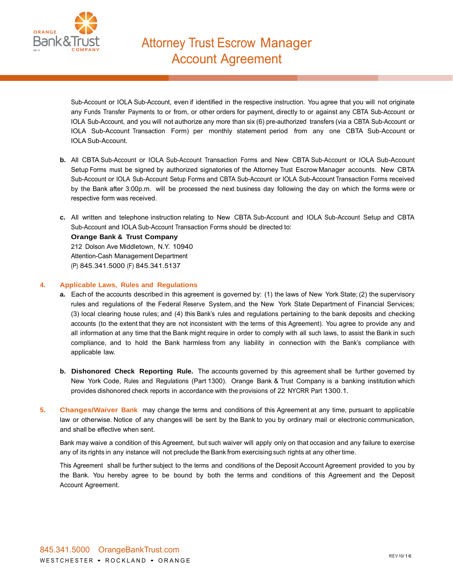

Sub-Account or IOLA Sub-Account, even if identified in the respective instruction. You agree that you will not originate any Funds Transfer Payments to or from, or other orders for payment, directly to or against any CBTA Sub-Account or IOLA Sub-Account, and you will not authorize any more than six (6) pre-authorized transfers (via a CBTA Sub-Account or IOLA Sub-Account Transaction Form) per monthly statement period from any one CBTA Sub-Account or IOLA Sub-Account.

- **b.** All CBTA Sub-Account or IOLA Sub-Account Transaction Forms and New CBTA Sub-Account or IOLA Sub-Account Setup Forms must be signed by authorized signatories of the Attorney Trust Escrow Manager accounts. New CBTA Sub-Account or IOLA Sub-Account Setup Forms and CBTA Sub-Account or IOLA Sub-Account Transaction Forms received by the Bank after 3:00p.m. will be processed the next business day following the day on which the forms were or respective form was received.
- **c.** All written and telephone instruction relating to New CBTA Sub-Account and IOLA Sub-Account Setup and CBTA Sub-Account and IOLA Sub-Account Transaction Forms should be directed to:

**Orange Bank & Trust Company** 212 Dolson Ave Middletown, N.Y. 10940 Attention-Cash Management Department (P) 845.341.5000 (F) 845.341.5137

## **4. Applicable Laws, Rules and Regulations**

- **a.** Each of the accounts described in this agreement is governed by: (1) the laws of New York State; (2) the supervisory rules and regulations of the Federal Reserve System, and the New York State Department of Financial Services; (3) local clearing house rules; and (4) this Bank's rules and regulations pertaining to the bank deposits and checking accounts (to the extent that they are not inconsistent with the terms of this Agreement). You agree to provide any and all information at any time that the Bank might require in order to comply with all such laws, to assist the Bank in such compliance, and to hold the Bank harmless from any liability in connection with the Bank's compliance with applicable law.
- **b. Dishonored Check Reporting Rule.** The accounts governed by this agreement shall be further governed by New York Code, Rules and Regulations (Part 1300). Orange Bank & Trust Company is a banking institution which provides dishonored check reports in accordance with the provisions of 22 NYCRR Part 1300.1.
- **5. Changes/Waiver Bank** may change the terms and conditions of this Agreement at any time, pursuant to applicable law or otherwise. Notice of any changes will be sent by the Bank to you by ordinary mail or electronic communication, and shall be effective when sent.

Bank may waive a condition of this Agreement, but such waiver will apply only on that occasion and any failure to exercise any of its rights in any instance will not preclude the Bank from exercising such rights at any other time.

This Agreement shall be further subject to the terms and conditions of the Deposit Account Agreement provided to you by the Bank. You hereby agree to be bound by both the terms and conditions of this Agreement and the Deposit Account Agreement.